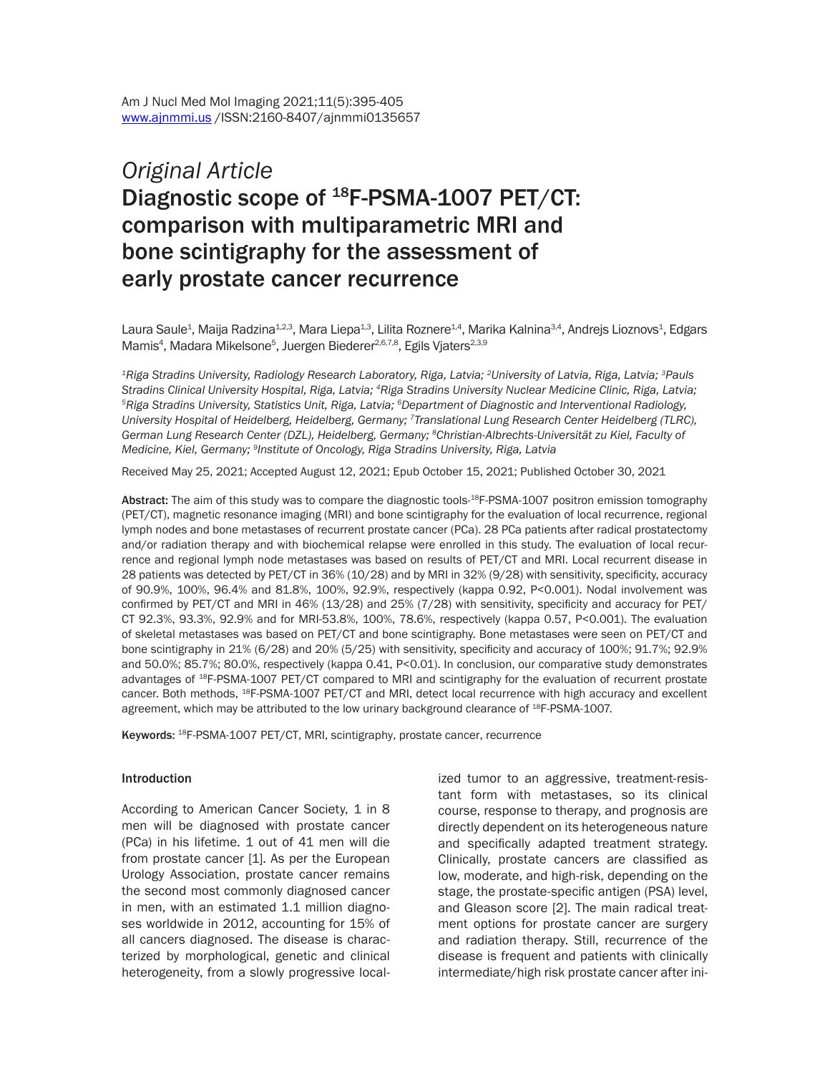# *Original Article* Diagnostic scope of 18F-PSMA-1007 PET/CT: comparison with multiparametric MRI and bone scintigraphy for the assessment of early prostate cancer recurrence

Laura Saule<sup>1</sup>, Maija Radzina<sup>1,2,3</sup>, Mara Liepa<sup>1,3</sup>, Lilita Roznere<sup>1,4</sup>, Marika Kalnina<sup>3,4</sup>, Andrejs Lioznovs<sup>1</sup>, Edgars Mamis<sup>4</sup>, Madara Mikelsone<sup>5</sup>, Juergen Biederer<sup>2,6,7,8</sup>, Egils Vjaters<sup>2,3,9</sup>

*1Riga Stradins University, Radiology Research Laboratory, Riga, Latvia; 2University of Latvia, Riga, Latvia; 3Pauls*  Stradins Clinical University Hospital, Riga, Latvia; <sup>4</sup>Riga Stradins University Nuclear Medicine Clinic, Riga, Latvia;<br><sup>5</sup>Riga Stradins University, Statistics Unit, Riga, Latvia: <sup>6</sup>Department of Diagnostic and Interventi *University Hospital of Heidelberg, Heidelberg, Germany; 7Translational Lung Research Center Heidelberg (TLRC), German Lung Research Center (DZL), Heidelberg, Germany; 8Christian-Albrechts-Universität zu Kiel, Faculty of Medicine, Kiel, Germany; 9Institute of Oncology, Riga Stradins University, Riga, Latvia*

Received May 25, 2021; Accepted August 12, 2021; Epub October 15, 2021; Published October 30, 2021

Abstract: The aim of this study was to compare the diagnostic tools-<sup>18</sup>F-PSMA-1007 positron emission tomography (PET/CT), magnetic resonance imaging (MRI) and bone scintigraphy for the evaluation of local recurrence, regional lymph nodes and bone metastases of recurrent prostate cancer (PCa). 28 PCa patients after radical prostatectomy and/or radiation therapy and with biochemical relapse were enrolled in this study. The evaluation of local recurrence and regional lymph node metastases was based on results of PET/CT and MRI. Local recurrent disease in 28 patients was detected by PET/CT in 36% (10/28) and by MRI in 32% (9/28) with sensitivity, specificity, accuracy of 90.9%, 100%, 96.4% and 81.8%, 100%, 92.9%, respectively (kappa 0.92, P<0.001). Nodal involvement was confirmed by PET/CT and MRI in 46% (13/28) and 25% (7/28) with sensitivity, specificity and accuracy for PET/ CT 92.3%, 93.3%, 92.9% and for MRI-53.8%, 100%, 78.6%, respectively (kappa 0.57, P<0.001). The evaluation of skeletal metastases was based on PET/CT and bone scintigraphy. Bone metastases were seen on PET/CT and bone scintigraphy in 21% (6/28) and 20% (5/25) with sensitivity, specificity and accuracy of 100%; 91.7%; 92.9% and 50.0%; 85.7%; 80.0%, respectively (kappa 0.41, P<0.01). In conclusion, our comparative study demonstrates advantages of 18F-PSMA-1007 PET/CT compared to MRI and scintigraphy for the evaluation of recurrent prostate cancer. Both methods, <sup>18</sup>F-PSMA-1007 PET/CT and MRI, detect local recurrence with high accuracy and excellent agreement, which may be attributed to the low urinary background clearance of <sup>18</sup>F-PSMA-1007.

Keywords: <sup>18</sup>F-PSMA-1007 PET/CT, MRI, scintigraphy, prostate cancer, recurrence

#### **Introduction**

According to American Cancer Society, 1 in 8 men will be diagnosed with prostate cancer (PCa) in his lifetime. 1 out of 41 men will die from prostate cancer [1]. As per the European Urology Association, prostate cancer remains the second most commonly diagnosed cancer in men, with an estimated 1.1 million diagnoses worldwide in 2012, accounting for 15% of all cancers diagnosed. The disease is characterized by morphological, genetic and clinical heterogeneity, from a slowly progressive localized tumor to an aggressive, treatment-resistant form with metastases, so its clinical course, response to therapy, and prognosis are directly dependent on its heterogeneous nature and specifically adapted treatment strategy. Clinically, prostate cancers are classified as low, moderate, and high-risk, depending on the stage, the prostate-specific antigen (PSA) level, and Gleason score [2]. The main radical treatment options for prostate cancer are surgery and radiation therapy. Still, recurrence of the disease is frequent and patients with clinically intermediate/high risk prostate cancer after ini-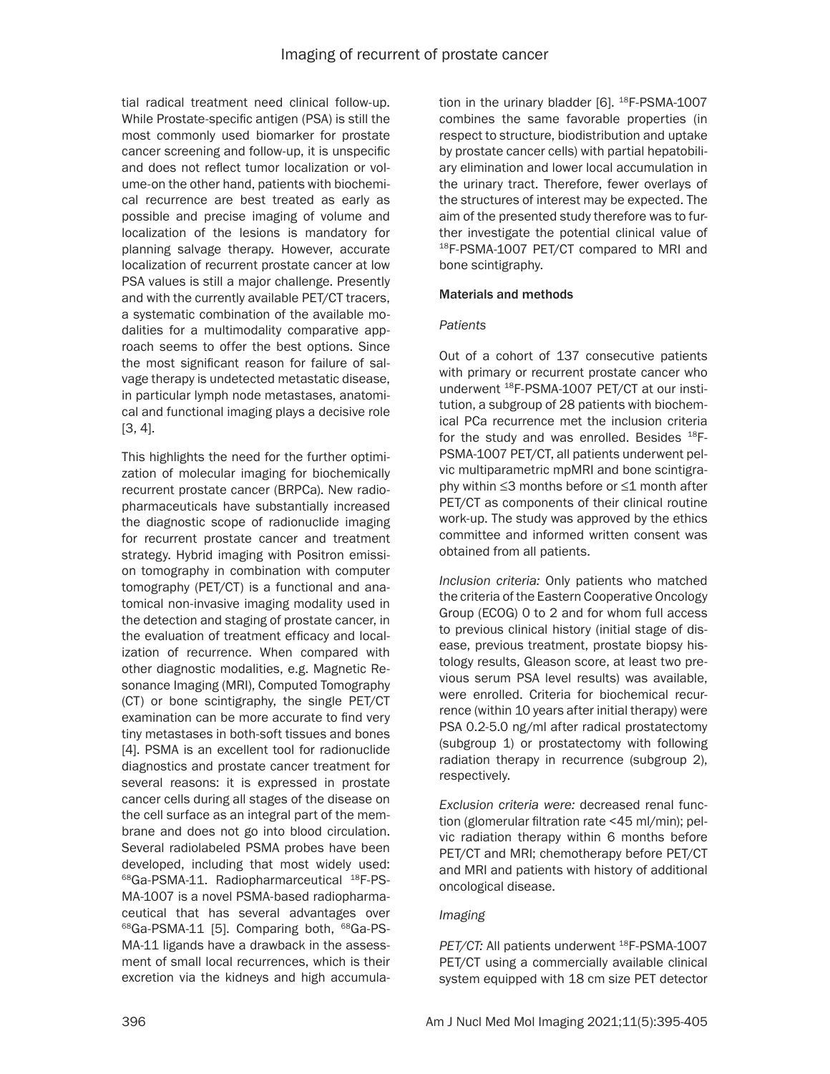tial radical treatment need clinical follow-up. While Prostate-specific antigen (PSA) is still the most commonly used biomarker for prostate cancer screening and follow-up, it is unspecific and does not reflect tumor localization or volume-on the other hand, patients with biochemical recurrence are best treated as early as possible and precise imaging of volume and localization of the lesions is mandatory for planning salvage therapy. However, accurate localization of recurrent prostate cancer at low PSA values is still a major challenge. Presently and with the currently available PET/CT tracers, a systematic combination of the available modalities for a multimodality comparative approach seems to offer the best options. Since the most significant reason for failure of salvage therapy is undetected metastatic disease, in particular lymph node metastases, anatomical and functional imaging plays a decisive role [3, 4].

This highlights the need for the further optimization of molecular imaging for biochemically recurrent prostate cancer (BRPCa). New radiopharmaceuticals have substantially increased the diagnostic scope of radionuclide imaging for recurrent prostate cancer and treatment strategy. Hybrid imaging with Positron emission tomography in combination with computer tomography (PET/CT) is a functional and anatomical non-invasive imaging modality used in the detection and staging of prostate cancer, in the evaluation of treatment efficacy and localization of recurrence. When compared with other diagnostic modalities, e.g. Magnetic Resonance Imaging (MRI), Computed Tomography (CT) or bone scintigraphy, the single PET/CT examination can be more accurate to find very tiny metastases in both-soft tissues and bones [4]. PSMA is an excellent tool for radionuclide diagnostics and prostate cancer treatment for several reasons: it is expressed in prostate cancer cells during all stages of the disease on the cell surface as an integral part of the membrane and does not go into blood circulation. Several radiolabeled PSMA probes have been developed, including that most widely used: 68Ga-PSMA-11. Radiopharmarceutical 18F-PS-MA-1007 is a novel PSMA-based radiopharmaceutical that has several advantages over 68Ga-PSMA-11 [5]. Comparing both, 68Ga-PS-MA-11 ligands have a drawback in the assessment of small local recurrences, which is their excretion via the kidneys and high accumulation in the urinary bladder  $[6]$ .  $^{18}F-PSMA-1007$ combines the same favorable properties (in respect to structure, biodistribution and uptake by prostate cancer cells) with partial hepatobiliary elimination and lower local accumulation in the urinary tract. Therefore, fewer overlays of the structures of interest may be expected. The aim of the presented study therefore was to further investigate the potential clinical value of 18F-PSMA-1007 PET/CT compared to MRI and bone scintigraphy.

## Materials and methods

## *Patients*

Out of a cohort of 137 consecutive patients with primary or recurrent prostate cancer who underwent 18F-PSMA-1007 PET/CT at our institution, a subgroup of 28 patients with biochemical PCa recurrence met the inclusion criteria for the study and was enrolled. Besides  $^{18}$ F-PSMA-1007 PET/CT, all patients underwent pelvic multiparametric mpMRI and bone scintigraphy within ≤3 months before or ≤1 month after PET/CT as components of their clinical routine work-up. The study was approved by the ethics committee and informed written consent was obtained from all patients.

*Inclusion criteria:* Only patients who matched the criteria of the Eastern Cooperative Oncology Group (ECOG) 0 to 2 and for whom full access to previous clinical history (initial stage of disease, previous treatment, prostate biopsy histology results, Gleason score, at least two previous serum PSA level results) was available, were enrolled. Criteria for biochemical recurrence (within 10 years after initial therapy) were PSA 0.2-5.0 ng/ml after radical prostatectomy (subgroup 1) or prostatectomy with following radiation therapy in recurrence (subgroup 2), respectively.

*Exclusion criteria were:* decreased renal function (glomerular filtration rate <45 ml/min); pelvic radiation therapy within 6 months before PET/CT and MRI; chemotherapy before PET/CT and MRI and patients with history of additional oncological disease.

## *Imaging*

PET/CT: All patients underwent <sup>18</sup>F-PSMA-1007 PET/CT using a commercially available clinical system equipped with 18 cm size PET detector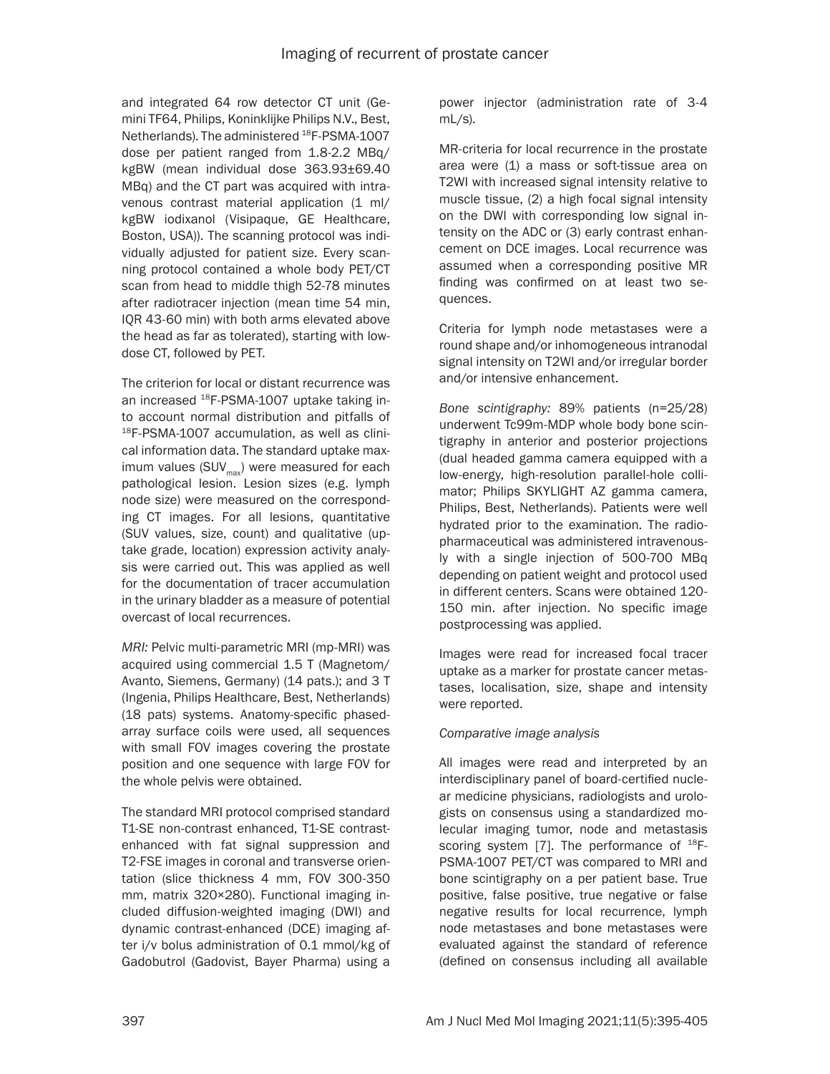and integrated 64 row detector CT unit (Gemini TF64, Philips, Koninklijke Philips N.V., Best, Netherlands). The administered <sup>18</sup>F-PSMA-1007 dose per patient ranged from 1.8-2.2 MBq/ kgBW (mean individual dose 363.93±69.40 MBq) and the CT part was acquired with intravenous contrast material application (1 ml/ kgBW iodixanol (Visipaque, GE Healthcare, Boston, USA)). The scanning protocol was individually adjusted for patient size. Every scanning protocol contained a whole body PET/CT scan from head to middle thigh 52-78 minutes after radiotracer injection (mean time 54 min, IQR 43-60 min) with both arms elevated above the head as far as tolerated), starting with lowdose CT, followed by PET.

The criterion for local or distant recurrence was an increased <sup>18</sup>F-PSMA-1007 uptake taking into account normal distribution and pitfalls of 18F-PSMA-1007 accumulation, as well as clinical information data. The standard uptake maximum values (SUV $_{max}$ ) were measured for each pathological lesion. Lesion sizes (e.g. lymph node size) were measured on the corresponding CT images. For all lesions, quantitative (SUV values, size, count) and qualitative (uptake grade, location) expression activity analysis were carried out. This was applied as well for the documentation of tracer accumulation in the urinary bladder as a measure of potential overcast of local recurrences.

*MRI:* Pelvic multi-parametric MRI (mp-MRI) was acquired using commercial 1.5 T (Magnetom/ Avanto, Siemens, Germany) (14 pats.); and 3 T (Ingenia, Philips Healthcare, Best, Netherlands) (18 pats) systems. Anatomy-specific phasedarray surface coils were used, all sequences with small FOV images covering the prostate position and one sequence with large FOV for the whole pelvis were obtained.

The standard MRI protocol comprised standard T1-SE non-contrast enhanced, T1-SE contrastenhanced with fat signal suppression and T2-FSE images in coronal and transverse orientation (slice thickness 4 mm, FOV 300-350 mm, matrix 320×280). Functional imaging included diffusion-weighted imaging (DWI) and dynamic contrast-enhanced (DCE) imaging after i/v bolus administration of 0.1 mmol/kg of Gadobutrol (Gadovist, Bayer Pharma) using a power injector (administration rate of 3-4 mL/s).

MR-criteria for local recurrence in the prostate area were (1) a mass or soft-tissue area on T2WI with increased signal intensity relative to muscle tissue, (2) a high focal signal intensity on the DWI with corresponding low signal intensity on the ADC or (3) early contrast enhancement on DCE images. Local recurrence was assumed when a corresponding positive MR finding was confirmed on at least two sequences.

Criteria for lymph node metastases were a round shape and/or inhomogeneous intranodal signal intensity on T2WI and/or irregular border and/or intensive enhancement.

*Bone scintigraphy:* 89% patients (n=25/28) underwent Tc99m-MDP whole body bone scintigraphy in anterior and posterior projections (dual headed gamma camera equipped with a low-energy, high-resolution parallel-hole collimator; Philips SKYLIGHT AZ gamma camera, Philips, Best, Netherlands). Patients were well hydrated prior to the examination. The radiopharmaceutical was administered intravenously with a single injection of 500-700 MBq depending on patient weight and protocol used in different centers. Scans were obtained 120- 150 min. after injection. No specific image postprocessing was applied.

Images were read for increased focal tracer uptake as a marker for prostate cancer metastases, localisation, size, shape and intensity were reported.

# *Comparative image analysis*

All images were read and interpreted by an interdisciplinary panel of board-certified nuclear medicine physicians, radiologists and urologists on consensus using a standardized molecular imaging tumor, node and metastasis scoring system [7]. The performance of  $^{18}F-$ PSMA-1007 PET/CT was compared to MRI and bone scintigraphy on a per patient base. True positive, false positive, true negative or false negative results for local recurrence, lymph node metastases and bone metastases were evaluated against the standard of reference (defined on consensus including all available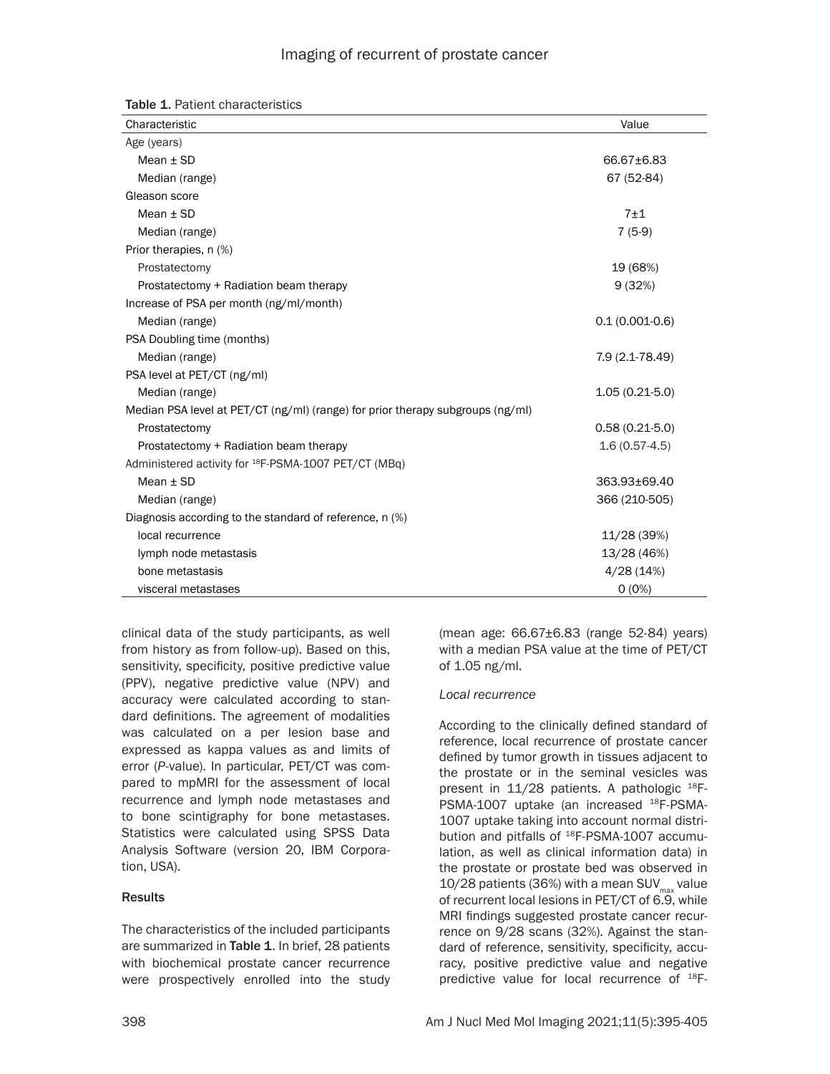|  |  | <b>Table 1. Patient characteristics</b> |
|--|--|-----------------------------------------|
|--|--|-----------------------------------------|

| Characteristic                                                                 | Value            |  |
|--------------------------------------------------------------------------------|------------------|--|
| Age (years)                                                                    |                  |  |
| Mean $\pm$ SD                                                                  | 66.67±6.83       |  |
| Median (range)                                                                 | 67 (52-84)       |  |
| Gleason score                                                                  |                  |  |
| Mean $\pm$ SD                                                                  | 7±1              |  |
| Median (range)                                                                 | $7(5-9)$         |  |
| Prior therapies, n (%)                                                         |                  |  |
| Prostatectomy                                                                  | 19 (68%)         |  |
| Prostatectomy + Radiation beam therapy                                         | 9(32%)           |  |
| Increase of PSA per month (ng/ml/month)                                        |                  |  |
| Median (range)                                                                 | $0.1(0.001-0.6)$ |  |
| PSA Doubling time (months)                                                     |                  |  |
| Median (range)                                                                 | 7.9 (2.1-78.49)  |  |
| PSA level at PET/CT (ng/ml)                                                    |                  |  |
| Median (range)                                                                 | $1.05(0.21-5.0)$ |  |
| Median PSA level at PET/CT (ng/ml) (range) for prior therapy subgroups (ng/ml) |                  |  |
| Prostatectomy                                                                  | $0.58(0.21-5.0)$ |  |
| Prostatectomy + Radiation beam therapy                                         | $1.6(0.57-4.5)$  |  |
| Administered activity for <sup>18</sup> F-PSMA-1007 PET/CT (MBq)               |                  |  |
| Mean $\pm$ SD                                                                  | 363.93±69.40     |  |
| Median (range)                                                                 | 366 (210-505)    |  |
| Diagnosis according to the standard of reference, n (%)                        |                  |  |
| local recurrence                                                               | 11/28 (39%)      |  |
| lymph node metastasis                                                          | 13/28 (46%)      |  |
| bone metastasis                                                                | 4/28(14%)        |  |
| visceral metastases                                                            | $0(0\%)$         |  |

clinical data of the study participants, as well from history as from follow-up). Based on this, sensitivity, specificity, positive predictive value (PPV), negative predictive value (NPV) and accuracy were calculated according to standard definitions. The agreement of modalities was calculated on a per lesion base and expressed as kappa values as and limits of error (*P*-value). In particular, PET/CT was compared to mpMRI for the assessment of local recurrence and lymph node metastases and to bone scintigraphy for bone metastases. Statistics were calculated using SPSS Data Analysis Software (version 20, IBM Corporation, USA).

# **Results**

The characteristics of the included participants are summarized in Table 1. In brief, 28 patients with biochemical prostate cancer recurrence were prospectively enrolled into the study (mean age: 66.67±6.83 (range 52-84) years) with a median PSA value at the time of PET/CT of 1.05 ng/ml.

## *Local recurrence*

According to the clinically defined standard of reference, local recurrence of prostate cancer defined by tumor growth in tissues adjacent to the prostate or in the seminal vesicles was present in 11/28 patients. A pathologic <sup>18</sup>F-PSMA-1007 uptake (an increased <sup>18</sup>F-PSMA-1007 uptake taking into account normal distribution and pitfalls of <sup>18</sup>F-PSMA-1007 accumulation, as well as clinical information data) in the prostate or prostate bed was observed in 10/28 patients (36%) with a mean  $\text{SUV}_{\text{max}}$  value of recurrent local lesions in PET/CT of 6.9, while MRI findings suggested prostate cancer recurrence on 9/28 scans (32%). Against the standard of reference, sensitivity, specificity, accuracy, positive predictive value and negative predictive value for local recurrence of 18F-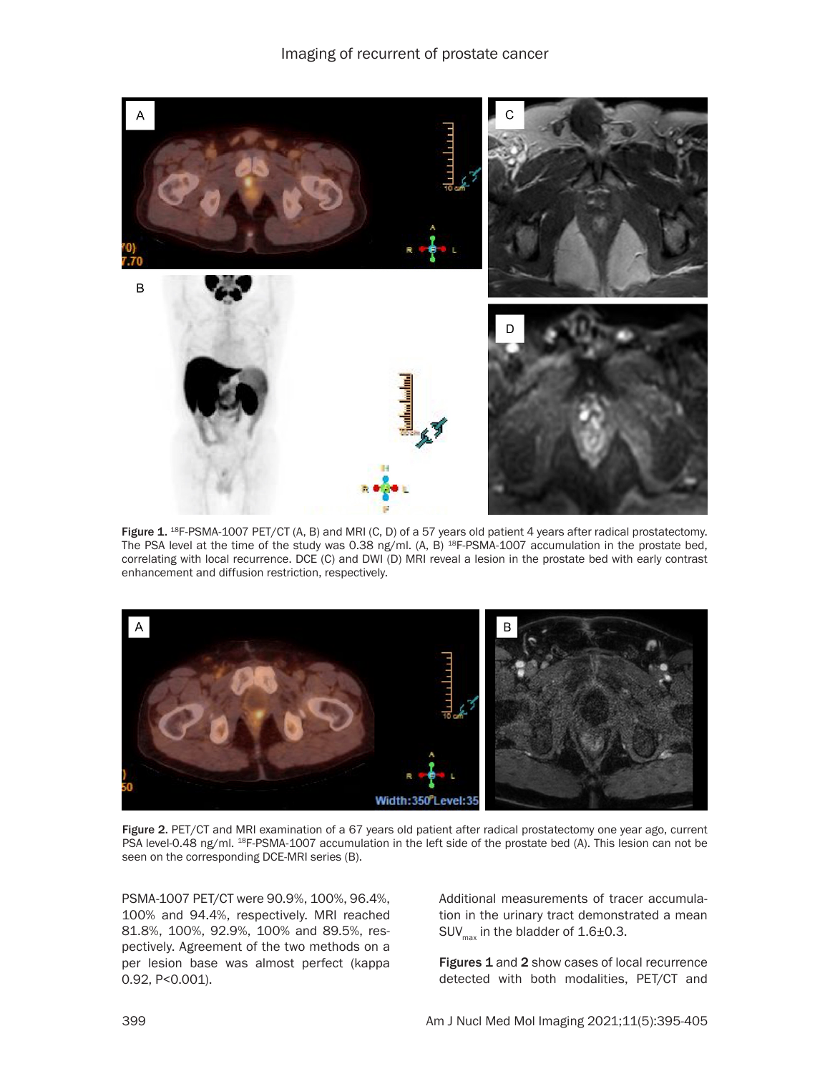

Figure 1. <sup>18</sup>F-PSMA-1007 PET/CT (A, B) and MRI (C, D) of a 57 years old patient 4 years after radical prostatectomy. The PSA level at the time of the study was 0.38 ng/ml. (A, B) <sup>18</sup>F-PSMA-1007 accumulation in the prostate bed, correlating with local recurrence. DCE (C) and DWI (D) MRI reveal a lesion in the prostate bed with early contrast enhancement and diffusion restriction, respectively.



Figure 2. PET/CT and MRI examination of a 67 years old patient after radical prostatectomy one year ago, current PSA level-0.48 ng/ml. <sup>18</sup>F-PSMA-1007 accumulation in the left side of the prostate bed (A). This lesion can not be seen on the corresponding DCE-MRI series (B).

PSMA-1007 PET/CT were 90.9%, 100%, 96.4%, 100% and 94.4%, respectively. MRI reached 81.8%, 100%, 92.9%, 100% and 89.5%, respectively. Agreement of the two methods on a per lesion base was almost perfect (kappa 0.92, P<0.001).

Additional measurements of tracer accumulation in the urinary tract demonstrated a mean  $\text{SUV}_{\text{max}}$  in the bladder of 1.6 $\pm$ 0.3.

Figures 1 and 2 show cases of local recurrence detected with both modalities, PET/CT and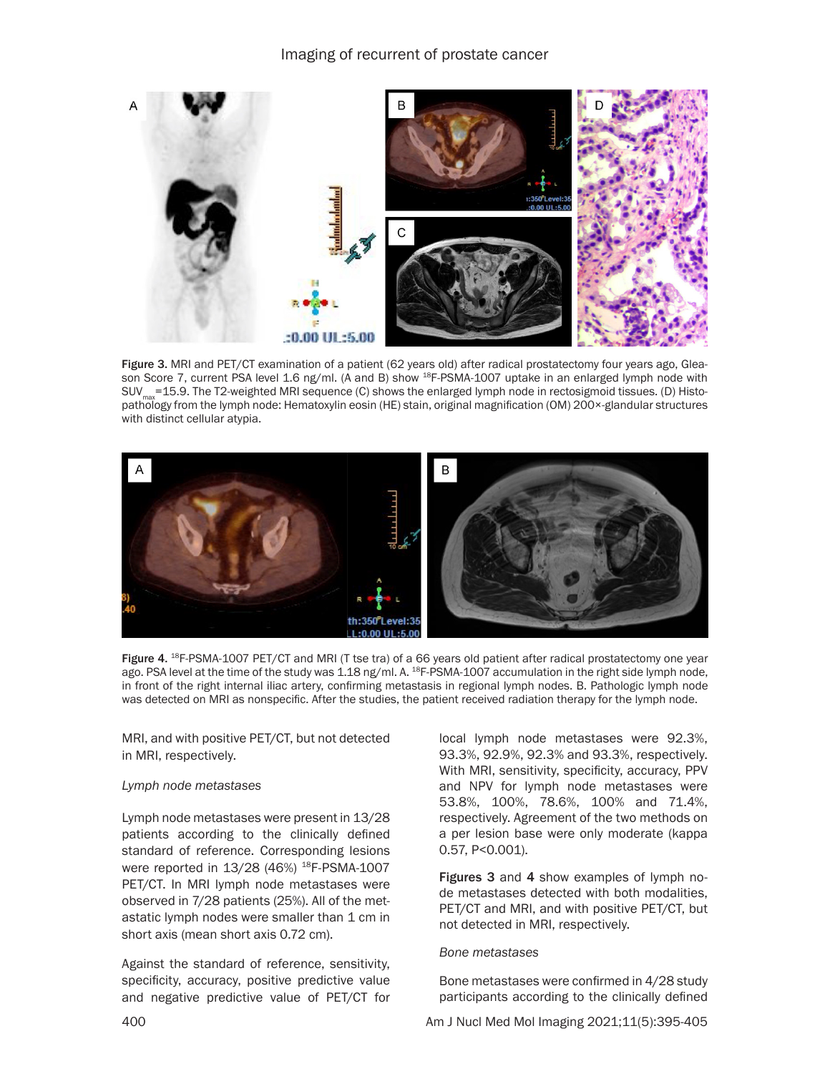

Figure 3. MRI and PET/CT examination of a patient (62 years old) after radical prostatectomy four years ago, Gleason Score 7, current PSA level 1.6 ng/ml. (A and B) show <sup>18</sup>F-PSMA-1007 uptake in an enlarged lymph node with SUV<sub>max</sub>=15.9. The T2-weighted MRI sequence (C) shows the enlarged lymph node in rectosigmoid tissues. (D) Histopathology from the lymph node: Hematoxylin eosin (HE) stain, original magnification (OM) 200×-glandular structures with distinct cellular atypia.



Figure 4. <sup>18</sup>F-PSMA-1007 PET/CT and MRI (T tse tra) of a 66 years old patient after radical prostatectomy one year ago. PSA level at the time of the study was 1.18 ng/ml. A. <sup>18</sup>F-PSMA-1007 accumulation in the right side lymph node, in front of the right internal iliac artery, confirming metastasis in regional lymph nodes. B. Pathologic lymph node was detected on MRI as nonspecific. After the studies, the patient received radiation therapy for the lymph node.

MRI, and with positive PET/CT, but not detected in MRI, respectively.

#### *Lymph node metastases*

Lymph node metastases were present in 13/28 patients according to the clinically defined standard of reference. Corresponding lesions were reported in 13/28 (46%) <sup>18</sup>F-PSMA-1007 PET/CT. In MRI lymph node metastases were observed in 7/28 patients (25%). All of the metastatic lymph nodes were smaller than 1 cm in short axis (mean short axis 0.72 cm).

Against the standard of reference, sensitivity, specificity, accuracy, positive predictive value and negative predictive value of PET/CT for local lymph node metastases were 92.3%, 93.3%, 92.9%, 92.3% and 93.3%, respectively. With MRI, sensitivity, specificity, accuracy, PPV and NPV for lymph node metastases were 53.8%, 100%, 78.6%, 100% and 71.4%, respectively. Agreement of the two methods on a per lesion base were only moderate (kappa 0.57, P<0.001).

Figures 3 and 4 show examples of lymph node metastases detected with both modalities, PET/CT and MRI, and with positive PET/CT, but not detected in MRI, respectively.

#### *Bone metastases*

Bone metastases were confirmed in 4/28 study participants according to the clinically defined

400 Am J Nucl Med Mol Imaging 2021;11(5):395-405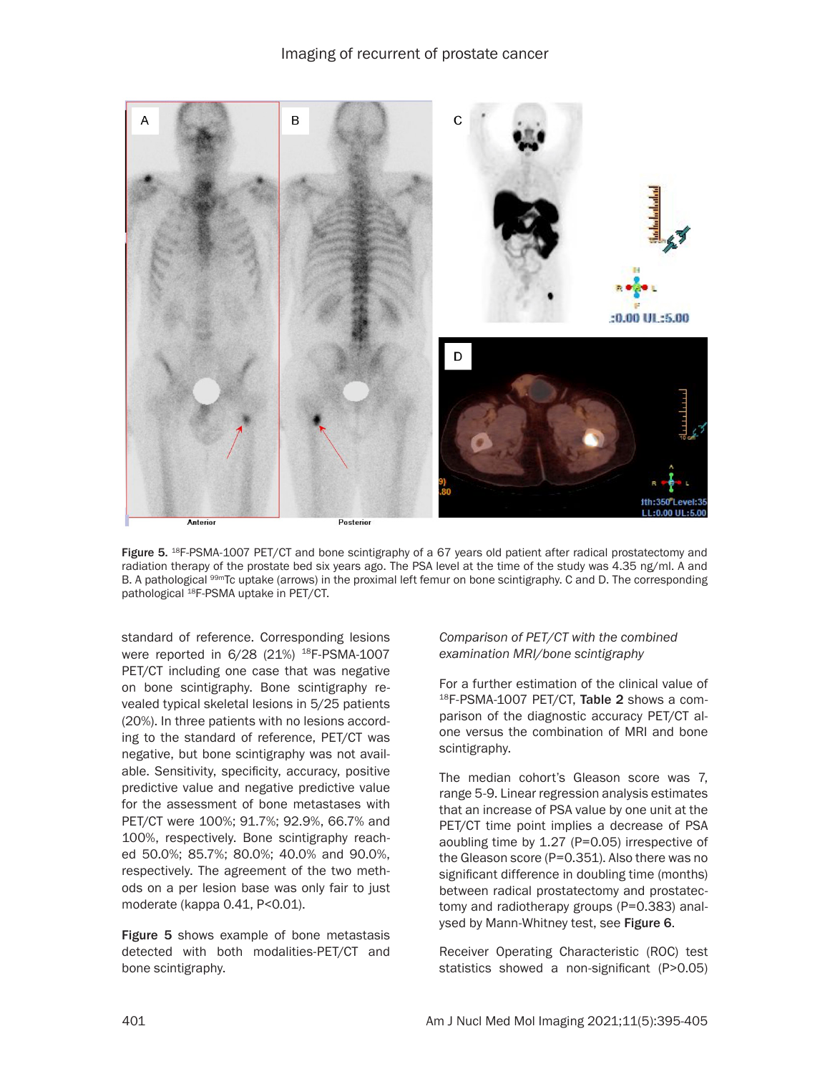

Figure 5. <sup>18</sup>F-PSMA-1007 PET/CT and bone scintigraphy of a 67 years old patient after radical prostatectomy and radiation therapy of the prostate bed six years ago. The PSA level at the time of the study was 4.35 ng/ml. A and B. A pathological <sup>99m</sup>Tc uptake (arrows) in the proximal left femur on bone scintigraphy. C and D. The corresponding pathological 18F-PSMA uptake in PET/CT.

standard of reference. Corresponding lesions were reported in 6/28 (21%) 18F-PSMA-1007 PET/CT including one case that was negative on bone scintigraphy. Bone scintigraphy revealed typical skeletal lesions in 5/25 patients (20%). In three patients with no lesions according to the standard of reference, PET/CT was negative, but bone scintigraphy was not available. Sensitivity, specificity, accuracy, positive predictive value and negative predictive value for the assessment of bone metastases with PET/CT were 100%; 91.7%; 92.9%, 66.7% and 100%, respectively. Bone scintigraphy reached 50.0%; 85.7%; 80.0%; 40.0% and 90.0%, respectively. The agreement of the two methods on a per lesion base was only fair to just moderate (kappa 0.41, P<0.01).

Figure 5 shows example of bone metastasis detected with both modalities-PET/CT and bone scintigraphy.

*Comparison of PET/CT with the combined examination MRI/bone scintigraphy*

For a further estimation of the clinical value of 18F-PSMA-1007 PET/CT, Table 2 shows a comparison of the diagnostic accuracy PET/CT alone versus the combination of MRI and bone scintigraphy.

The median cohort's Gleason score was 7, range 5-9. Linear regression analysis estimates that an increase of PSA value by one unit at the PET/CT time point implies a decrease of PSA aoubling time by 1.27 (P=0.05) irrespective of the Gleason score (P=0.351). Also there was no significant difference in doubling time (months) between radical prostatectomy and prostatectomy and radiotherapy groups (P=0.383) analysed by Mann-Whitney test, see Figure 6.

Receiver Operating Characteristic (ROC) test statistics showed a non-significant (P>0.05)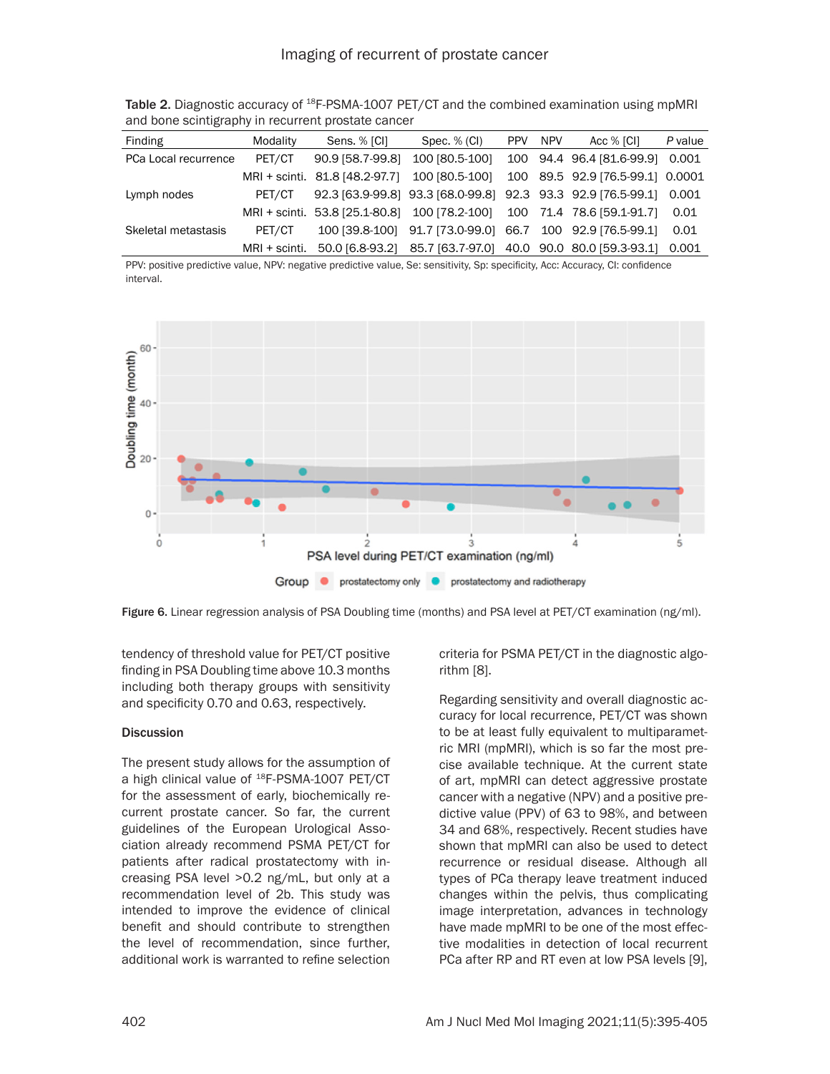| Finding              | Modality      | Sens. % [CI]                   | Spec. % (CI)                                                       | <b>PPV</b> | <b>NPV</b> | Acc % [CI]                               | P value |
|----------------------|---------------|--------------------------------|--------------------------------------------------------------------|------------|------------|------------------------------------------|---------|
| PCa Local recurrence | PET/CT        | 90.9 [58.7-99.8]               | 100 [80.5-100]                                                     |            |            | 100 94.4 96.4 [81.6-99.9]                | 0.001   |
|                      |               | MRI + scinti. 81.8 [48.2-97.7] | 100 [80.5-100]                                                     |            |            | 100 89.5 92.9 [76.5-99.1] 0.0001         |         |
| Lymph nodes          | PET/CT        |                                | 92.3 [63.9-99.8] 93.3 [68.0-99.8] 92.3 93.3 92.9 [76.5-99.1] 0.001 |            |            |                                          |         |
|                      |               | MRI + scinti. 53.8 [25.1-80.8] |                                                                    |            |            | 100 [78.2-100] 100 71.4 78.6 [59.1-91.7] | 0.01    |
| Skeletal metastasis  | PET/CT        |                                | 100 [39.8-100] 91.7 [73.0-99.0] 66.7 100 92.9 [76.5-99.1]          |            |            |                                          | 0.01    |
|                      | MRI + scinti. |                                | 50.0 [6.8-93.2] 85.7 [63.7-97.0] 40.0 90.0 80.0 [59.3-93.1] 0.001  |            |            |                                          |         |

Table 2. Diagnostic accuracy of <sup>18</sup>F-PSMA-1007 PET/CT and the combined examination using mpMRI and bone scintigraphy in recurrent prostate cancer

PPV: positive predictive value, NPV: negative predictive value, Se: sensitivity, Sp: specificity, Acc: Accuracy, CI: confidence interval.



Figure 6. Linear regression analysis of PSA Doubling time (months) and PSA level at PET/CT examination (ng/ml).

tendency of threshold value for PET/CT positive finding in PSA Doubling time above 10.3 months including both therapy groups with sensitivity and specificity 0.70 and 0.63, respectively.

## Discussion

The present study allows for the assumption of a high clinical value of <sup>18</sup>F-PSMA-1007 PET/CT for the assessment of early, biochemically recurrent prostate cancer. So far, the current guidelines of the European Urological Association already recommend PSMA PET/CT for patients after radical prostatectomy with increasing PSA level >0.2 ng/mL, but only at a recommendation level of 2b. This study was intended to improve the evidence of clinical benefit and should contribute to strengthen the level of recommendation, since further, additional work is warranted to refine selection

criteria for PSMA PET/CT in the diagnostic algorithm [8].

Regarding sensitivity and overall diagnostic accuracy for local recurrence, PET/CT was shown to be at least fully equivalent to multiparametric MRI (mpMRI), which is so far the most precise available technique. At the current state of art, mpMRI can detect aggressive prostate cancer with a negative (NPV) and a positive predictive value (PPV) of 63 to 98%, and between 34 and 68%, respectively. Recent studies have shown that mpMRI can also be used to detect recurrence or residual disease. Although all types of PCa therapy leave treatment induced changes within the pelvis, thus complicating image interpretation, advances in technology have made mpMRI to be one of the most effective modalities in detection of local recurrent PCa after RP and RT even at low PSA levels [9],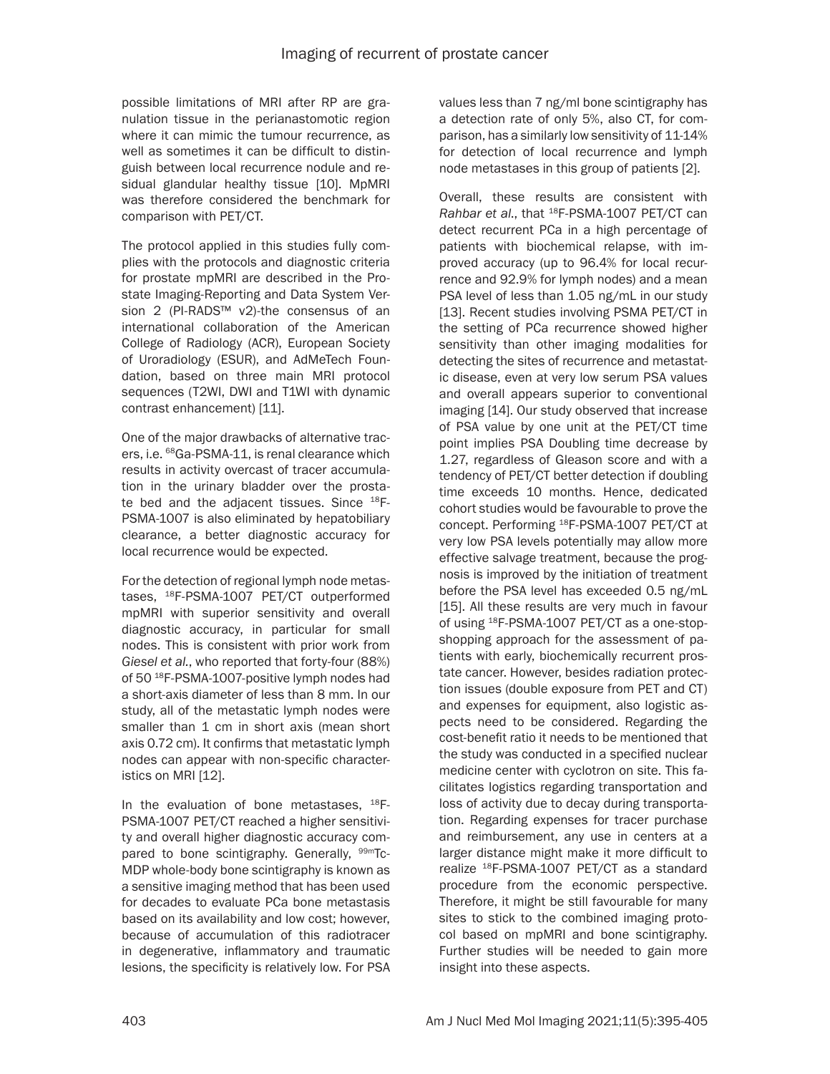possible limitations of MRI after RP are granulation tissue in the perianastomotic region where it can mimic the tumour recurrence, as well as sometimes it can be difficult to distinguish between local recurrence nodule and residual glandular healthy tissue [10]. MpMRI was therefore considered the benchmark for comparison with PET/CT.

The protocol applied in this studies fully complies with the protocols and diagnostic criteria for prostate mpMRI are described in the Prostate Imaging-Reporting and Data System Version 2 (PI-RADS™ v2)-the consensus of an international collaboration of the American College of Radiology (ACR), European Society of Uroradiology (ESUR), and AdMeTech Foundation, based on three main MRI protocol sequences (T2WI, DWI and T1WI with dynamic contrast enhancement) [11].

One of the major drawbacks of alternative tracers, i.e. <sup>68</sup>Ga-PSMA-11, is renal clearance which results in activity overcast of tracer accumulation in the urinary bladder over the prostate bed and the adjacent tissues. Since <sup>18</sup>F-PSMA-1007 is also eliminated by hepatobiliary clearance, a better diagnostic accuracy for local recurrence would be expected.

For the detection of regional lymph node metastases, <sup>18</sup>F-PSMA-1007 PET/CT outperformed mpMRI with superior sensitivity and overall diagnostic accuracy, in particular for small nodes. This is consistent with prior work from *Giesel et al.*, who reported that forty-four (88%) of 50<sup>18</sup>F-PSMA-1007-positive lymph nodes had a short-axis diameter of less than 8 mm. In our study, all of the metastatic lymph nodes were smaller than 1 cm in short axis (mean short axis 0.72 cm). It confirms that metastatic lymph nodes can appear with non-specific characteristics on MRI [12].

In the evaluation of bone metastases,  $^{18}F-$ PSMA-1007 PET/CT reached a higher sensitivity and overall higher diagnostic accuracy compared to bone scintigraphy. Generally, <sup>99mT</sup>c-MDP whole-body bone scintigraphy is known as a sensitive imaging method that has been used for decades to evaluate PCa bone metastasis based on its availability and low cost; however, because of accumulation of this radiotracer in degenerative, inflammatory and traumatic lesions, the specificity is relatively low. For PSA values less than 7 ng/ml bone scintigraphy has a detection rate of only 5%, also CT, for comparison, has a similarly low sensitivity of 11-14% for detection of local recurrence and lymph node metastases in this group of patients [2].

Overall, these results are consistent with *Rahbar et al*., that 18F-PSMA-1007 PET/CT can detect recurrent PCa in a high percentage of patients with biochemical relapse, with improved accuracy (up to 96.4% for local recurrence and 92.9% for lymph nodes) and a mean PSA level of less than 1.05 ng/mL in our study [13]. Recent studies involving PSMA PET/CT in the setting of PCa recurrence showed higher sensitivity than other imaging modalities for detecting the sites of recurrence and metastatic disease, even at very low serum PSA values and overall appears superior to conventional imaging [14]. Our study observed that increase of PSA value by one unit at the PET/CT time point implies PSA Doubling time decrease by 1.27, regardless of Gleason score and with a tendency of PET/CT better detection if doubling time exceeds 10 months. Hence, dedicated cohort studies would be favourable to prove the concept. Performing 18F-PSMA-1007 PET/CT at very low PSA levels potentially may allow more effective salvage treatment, because the prognosis is improved by the initiation of treatment before the PSA level has exceeded 0.5 ng/mL [15]. All these results are very much in favour of using 18F-PSMA-1007 PET/CT as a one-stopshopping approach for the assessment of patients with early, biochemically recurrent prostate cancer. However, besides radiation protection issues (double exposure from PET and CT) and expenses for equipment, also logistic aspects need to be considered. Regarding the cost-benefit ratio it needs to be mentioned that the study was conducted in a specified nuclear medicine center with cyclotron on site. This facilitates logistics regarding transportation and loss of activity due to decay during transportation. Regarding expenses for tracer purchase and reimbursement, any use in centers at a larger distance might make it more difficult to realize 18F-PSMA-1007 PET/CT as a standard procedure from the economic perspective. Therefore, it might be still favourable for many sites to stick to the combined imaging protocol based on mpMRI and bone scintigraphy. Further studies will be needed to gain more insight into these aspects.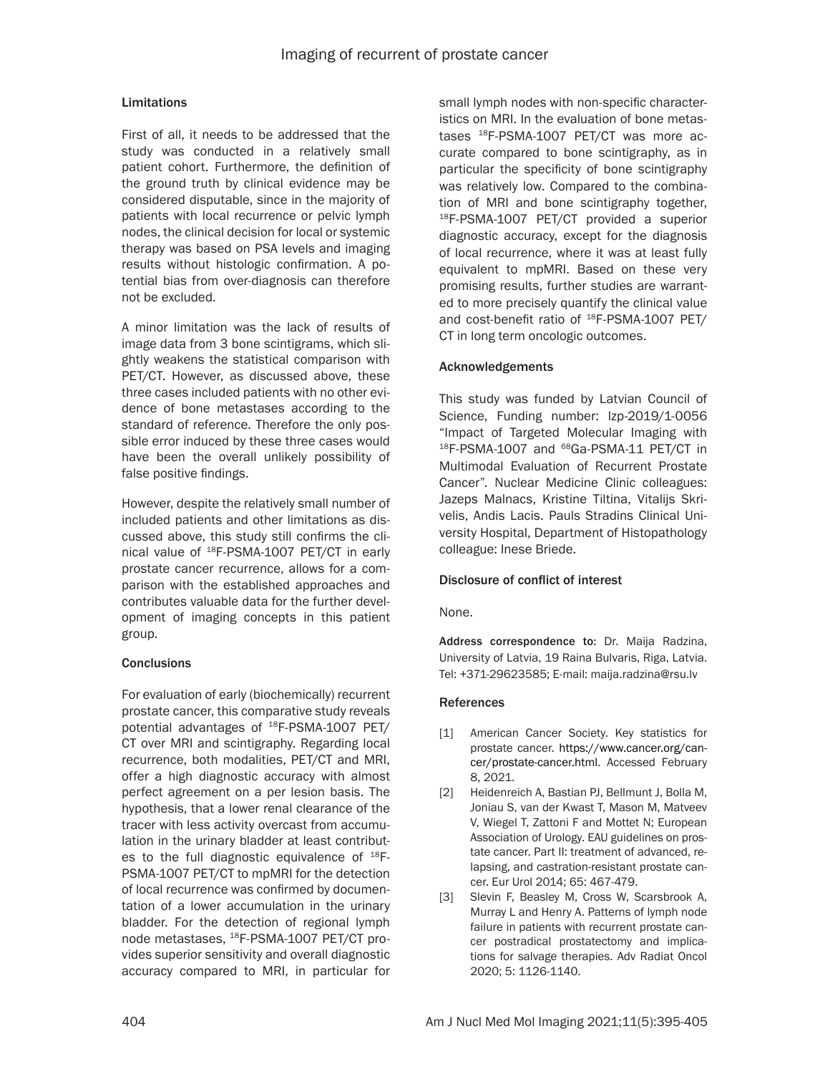# Limitations

First of all, it needs to be addressed that the study was conducted in a relatively small patient cohort. Furthermore, the definition of the ground truth by clinical evidence may be considered disputable, since in the majority of patients with local recurrence or pelvic lymph nodes, the clinical decision for local or systemic therapy was based on PSA levels and imaging results without histologic confirmation. A potential bias from over-diagnosis can therefore not be excluded.

A minor limitation was the lack of results of image data from 3 bone scintigrams, which slightly weakens the statistical comparison with PET/CT. However, as discussed above, these three cases included patients with no other evidence of bone metastases according to the standard of reference. Therefore the only possible error induced by these three cases would have been the overall unlikely possibility of false positive findings.

However, despite the relatively small number of included patients and other limitations as discussed above, this study still confirms the clinical value of <sup>18</sup>F-PSMA-1007 PET/CT in early prostate cancer recurrence, allows for a comparison with the established approaches and contributes valuable data for the further development of imaging concepts in this patient group.

# **Conclusions**

For evaluation of early (biochemically) recurrent prostate cancer, this comparative study reveals potential advantages of <sup>18</sup>F-PSMA-1007 PET/ CT over MRI and scintigraphy. Regarding local recurrence, both modalities, PET/CT and MRI, offer a high diagnostic accuracy with almost perfect agreement on a per lesion basis. The hypothesis, that a lower renal clearance of the tracer with less activity overcast from accumulation in the urinary bladder at least contributes to the full diagnostic equivalence of  $^{18}F-$ PSMA-1007 PET/CT to mpMRI for the detection of local recurrence was confirmed by documentation of a lower accumulation in the urinary bladder. For the detection of regional lymph node metastases, <sup>18</sup>F-PSMA-1007 PET/CT provides superior sensitivity and overall diagnostic accuracy compared to MRI, in particular for

small lymph nodes with non-specific characteristics on MRI. In the evaluation of bone metastases 18F-PSMA-1007 PET/CT was more accurate compared to bone scintigraphy, as in particular the specificity of bone scintigraphy was relatively low. Compared to the combination of MRI and bone scintigraphy together, 18F-PSMA-1007 PET/CT provided a superior diagnostic accuracy, except for the diagnosis of local recurrence, where it was at least fully equivalent to mpMRI. Based on these very promising results, further studies are warranted to more precisely quantify the clinical value and cost-benefit ratio of <sup>18</sup>F-PSMA-1007 PET/ CT in long term oncologic outcomes.

## Acknowledgements

This study was funded by Latvian Council of Science, Funding number: lzp-2019/1-0056 "Impact of Targeted Molecular Imaging with 18F-PSMA-1007 and <sup>68</sup>Ga-PSMA-11 PET/CT in Multimodal Evaluation of Recurrent Prostate Cancer". Nuclear Medicine Clinic colleagues: Jazeps Malnacs, Kristine Tiltina, Vitalijs Skrivelis, Andis Lacis. Pauls Stradins Clinical University Hospital, Department of Histopathology colleague: Inese Briede.

## Disclosure of conflict of interest

None.

Address correspondence to: Dr. Maija Radzina, University of Latvia, 19 Raina Bulvaris, Riga, Latvia. Tel: +371-29623585; E-mail: maija.radzina@rsu.lv

## References

- [1] American Cancer Society. Key statistics for prostate cancer. https://www.cancer.org/cancer/prostate-cancer.html. Accessed February 8, 2021.
- [2] Heidenreich A, Bastian PJ, Bellmunt J, Bolla M, Joniau S, van der Kwast T, Mason M, Matveev V, Wiegel T, Zattoni F and Mottet N; European Association of Urology. EAU guidelines on prostate cancer. Part II: treatment of advanced, relapsing, and castration-resistant prostate cancer. Eur Urol 2014; 65: 467-479.
- [3] Slevin F, Beasley M, Cross W, Scarsbrook A, Murray L and Henry A. Patterns of lymph node failure in patients with recurrent prostate cancer postradical prostatectomy and implications for salvage therapies. Adv Radiat Oncol 2020; 5: 1126-1140.